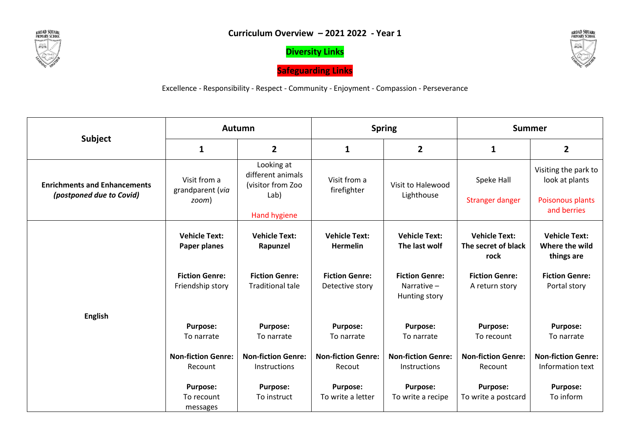

**Diversity Links**

**Safeguarding Links**



Excellence - Responsibility - Respect - Community - Enjoyment - Compassion - Perseverance

| <b>Subject</b><br><b>Enrichments and Enhancements</b><br>(postponed due to Covid)<br><b>English</b> | <b>Autumn</b>                             |                                                                              | <b>Spring</b>                            |                                                      | <b>Summer</b>                                       |                                                                           |
|-----------------------------------------------------------------------------------------------------|-------------------------------------------|------------------------------------------------------------------------------|------------------------------------------|------------------------------------------------------|-----------------------------------------------------|---------------------------------------------------------------------------|
|                                                                                                     | $\mathbf{1}$                              | $\overline{2}$                                                               | $\mathbf{1}$                             | $\overline{2}$                                       | $\mathbf{1}$                                        | $\overline{2}$                                                            |
|                                                                                                     | Visit from a<br>grandparent (via<br>zoom) | Looking at<br>different animals<br>(visitor from Zoo<br>Lab)<br>Hand hygiene | Visit from a<br>firefighter              | Visit to Halewood<br>Lighthouse                      | Speke Hall<br>Stranger danger                       | Visiting the park to<br>look at plants<br>Poisonous plants<br>and berries |
|                                                                                                     | <b>Vehicle Text:</b><br>Paper planes      | <b>Vehicle Text:</b><br>Rapunzel                                             | <b>Vehicle Text:</b><br><b>Hermelin</b>  | <b>Vehicle Text:</b><br>The last wolf                | <b>Vehicle Text:</b><br>The secret of black<br>rock | <b>Vehicle Text:</b><br>Where the wild<br>things are                      |
|                                                                                                     | <b>Fiction Genre:</b><br>Friendship story | <b>Fiction Genre:</b><br><b>Traditional tale</b>                             | <b>Fiction Genre:</b><br>Detective story | <b>Fiction Genre:</b><br>Narrative-<br>Hunting story | <b>Fiction Genre:</b><br>A return story             | <b>Fiction Genre:</b><br>Portal story                                     |
|                                                                                                     | <b>Purpose:</b><br>To narrate             | <b>Purpose:</b><br>To narrate                                                | Purpose:<br>To narrate                   | Purpose:<br>To narrate                               | <b>Purpose:</b><br>To recount                       | <b>Purpose:</b><br>To narrate                                             |
|                                                                                                     | <b>Non-fiction Genre:</b><br>Recount      | <b>Non-fiction Genre:</b><br><b>Instructions</b>                             | <b>Non-fiction Genre:</b><br>Recout      | <b>Non-fiction Genre:</b><br><b>Instructions</b>     | <b>Non-fiction Genre:</b><br>Recount                | <b>Non-fiction Genre:</b><br>Information text                             |
|                                                                                                     | <b>Purpose:</b><br>To recount<br>messages | <b>Purpose:</b><br>To instruct                                               | Purpose:<br>To write a letter            | <b>Purpose:</b><br>To write a recipe                 | <b>Purpose:</b><br>To write a postcard              | <b>Purpose:</b><br>To inform                                              |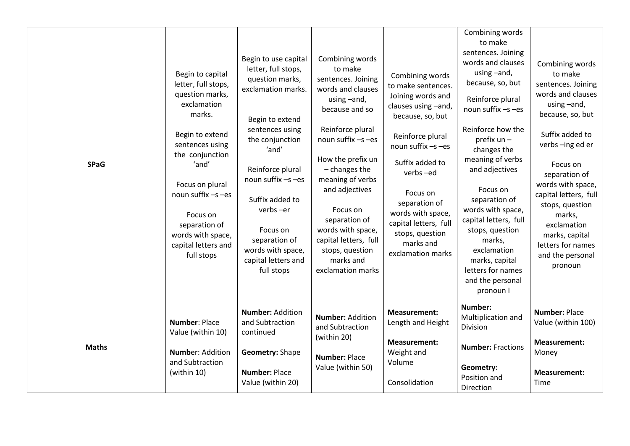| <b>SPaG</b>  | Begin to capital<br>letter, full stops,<br>question marks,<br>exclamation<br>marks.<br>Begin to extend<br>sentences using<br>the conjunction<br>'and'<br>Focus on plural<br>noun suffix -s-es<br>Focus on<br>separation of<br>words with space,<br>capital letters and<br>full stops | Begin to use capital<br>letter, full stops,<br>question marks,<br>exclamation marks.<br>Begin to extend<br>sentences using<br>the conjunction<br>'and'<br>Reinforce plural<br>noun suffix -s-es<br>Suffix added to<br>verbs-er<br>Focus on<br>separation of<br>words with space,<br>capital letters and<br>full stops | Combining words<br>to make<br>sentences. Joining<br>words and clauses<br>using -and,<br>because and so<br>Reinforce plural<br>noun suffix -s-es<br>How the prefix un<br>- changes the<br>meaning of verbs<br>and adjectives<br>Focus on<br>separation of<br>words with space,<br>capital letters, full<br>stops, question<br>marks and<br>exclamation marks | Combining words<br>to make sentences.<br>Joining words and<br>clauses using -and,<br>because, so, but<br>Reinforce plural<br>noun suffix -s-es<br>Suffix added to<br>verbs-ed<br>Focus on<br>separation of<br>words with space,<br>capital letters, full<br>stops, question<br>marks and<br>exclamation marks | Combining words<br>to make<br>sentences. Joining<br>words and clauses<br>using -and,<br>because, so, but<br>Reinforce plural<br>noun suffix -s-es<br>Reinforce how the<br>prefix un -<br>changes the<br>meaning of verbs<br>and adjectives<br>Focus on<br>separation of<br>words with space,<br>capital letters, full<br>stops, question<br>marks,<br>exclamation<br>marks, capital<br>letters for names<br>and the personal<br>pronoun I | Combining words<br>to make<br>sentences. Joining<br>words and clauses<br>using-and,<br>because, so, but<br>Suffix added to<br>verbs-ing ed er<br>Focus on<br>separation of<br>words with space,<br>capital letters, full<br>stops, question<br>marks,<br>exclamation<br>marks, capital<br>letters for names<br>and the personal<br>pronoun |
|--------------|--------------------------------------------------------------------------------------------------------------------------------------------------------------------------------------------------------------------------------------------------------------------------------------|-----------------------------------------------------------------------------------------------------------------------------------------------------------------------------------------------------------------------------------------------------------------------------------------------------------------------|-------------------------------------------------------------------------------------------------------------------------------------------------------------------------------------------------------------------------------------------------------------------------------------------------------------------------------------------------------------|---------------------------------------------------------------------------------------------------------------------------------------------------------------------------------------------------------------------------------------------------------------------------------------------------------------|-------------------------------------------------------------------------------------------------------------------------------------------------------------------------------------------------------------------------------------------------------------------------------------------------------------------------------------------------------------------------------------------------------------------------------------------|--------------------------------------------------------------------------------------------------------------------------------------------------------------------------------------------------------------------------------------------------------------------------------------------------------------------------------------------|
| <b>Maths</b> | Number: Place<br>Value (within 10)<br><b>Number: Addition</b><br>and Subtraction<br>(within 10)                                                                                                                                                                                      | <b>Number: Addition</b><br>and Subtraction<br>continued<br>Geometry: Shape<br><b>Number: Place</b>                                                                                                                                                                                                                    | <b>Number: Addition</b><br>and Subtraction<br>(within 20)<br><b>Number: Place</b><br>Value (within 50)                                                                                                                                                                                                                                                      | <b>Measurement:</b><br>Length and Height<br><b>Measurement:</b><br>Weight and<br>Volume                                                                                                                                                                                                                       | Number:<br>Multiplication and<br>Division<br><b>Number: Fractions</b><br>Geometry:<br>Position and                                                                                                                                                                                                                                                                                                                                        | <b>Number: Place</b><br>Value (within 100)<br><b>Measurement:</b><br>Money<br><b>Measurement:</b>                                                                                                                                                                                                                                          |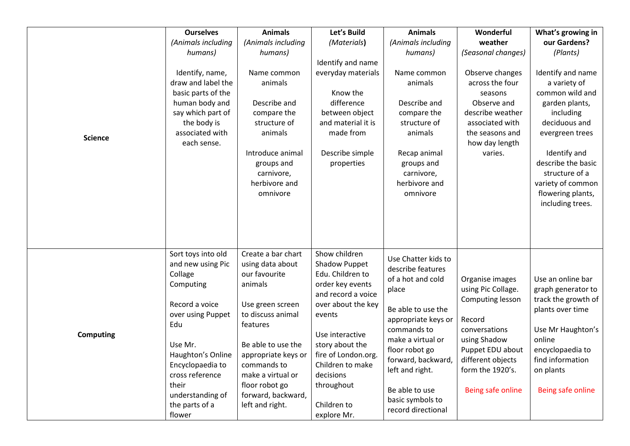| <b>Science</b>   | <b>Ourselves</b><br>(Animals including<br>humans)<br>Identify, name,<br>draw and label the<br>basic parts of the<br>human body and<br>say which part of<br>the body is<br>associated with<br>each sense.                                      | <b>Animals</b><br>(Animals including<br>humans)<br>Name common<br>animals<br>Describe and<br>compare the<br>structure of<br>animals<br>Introduce animal<br>groups and<br>carnivore,<br>herbivore and<br>omnivore                                                    | Let's Build<br>(Materials)<br>Identify and name<br>everyday materials<br>Know the<br>difference<br>between object<br>and material it is<br>made from<br>Describe simple<br>properties                                                                                  | <b>Animals</b><br>(Animals including<br>humans)<br>Name common<br>animals<br>Describe and<br>compare the<br>structure of<br>animals<br>Recap animal<br>groups and<br>carnivore,<br>herbivore and<br>omnivore                                                                   | Wonderful<br>weather<br>(Seasonal changes)<br>Observe changes<br>across the four<br>seasons<br>Observe and<br>describe weather<br>associated with<br>the seasons and<br>how day length<br>varies. | What's growing in<br>our Gardens?<br>(Plants)<br>Identify and name<br>a variety of<br>common wild and<br>garden plants,<br>including<br>deciduous and<br>evergreen trees<br>Identify and<br>describe the basic<br>structure of a<br>variety of common<br>flowering plants,<br>including trees. |
|------------------|-----------------------------------------------------------------------------------------------------------------------------------------------------------------------------------------------------------------------------------------------|---------------------------------------------------------------------------------------------------------------------------------------------------------------------------------------------------------------------------------------------------------------------|------------------------------------------------------------------------------------------------------------------------------------------------------------------------------------------------------------------------------------------------------------------------|--------------------------------------------------------------------------------------------------------------------------------------------------------------------------------------------------------------------------------------------------------------------------------|---------------------------------------------------------------------------------------------------------------------------------------------------------------------------------------------------|------------------------------------------------------------------------------------------------------------------------------------------------------------------------------------------------------------------------------------------------------------------------------------------------|
| <b>Computing</b> | Sort toys into old<br>and new using Pic<br>Collage<br>Computing<br>Record a voice<br>over using Puppet<br>Edu<br>Use Mr.<br>Haughton's Online<br>Encyclopaedia to<br>cross reference<br>their<br>understanding of<br>the parts of a<br>flower | Create a bar chart<br>using data about<br>our favourite<br>animals<br>Use green screen<br>to discuss animal<br>features<br>Be able to use the<br>appropriate keys or<br>commands to<br>make a virtual or<br>floor robot go<br>forward, backward,<br>left and right. | Show children<br>Shadow Puppet<br>Edu. Children to<br>order key events<br>and record a voice<br>over about the key<br>events<br>Use interactive<br>story about the<br>fire of London.org.<br>Children to make<br>decisions<br>throughout<br>Children to<br>explore Mr. | Use Chatter kids to<br>describe features<br>of a hot and cold<br>place<br>Be able to use the<br>appropriate keys or<br>commands to<br>make a virtual or<br>floor robot go<br>forward, backward,<br>left and right.<br>Be able to use<br>basic symbols to<br>record directional | Organise images<br>using Pic Collage.<br>Computing lesson<br>Record<br>conversations<br>using Shadow<br>Puppet EDU about<br>different objects<br>form the 1920's.<br>Being safe online            | Use an online bar<br>graph generator to<br>track the growth of<br>plants over time<br>Use Mr Haughton's<br>online<br>encyclopaedia to<br>find information<br>on plants<br>Being safe online                                                                                                    |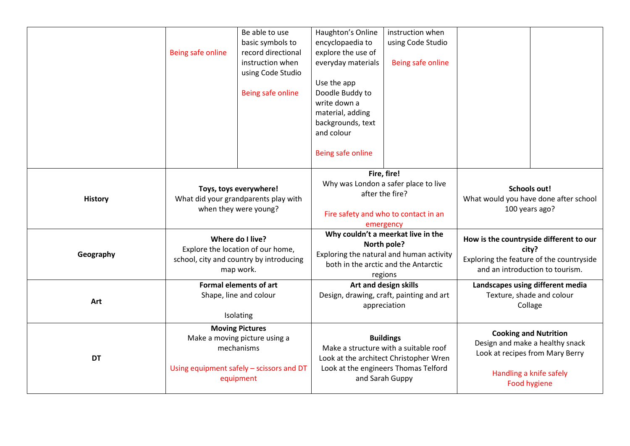|                |                                                                                           | Be able to use        | Haughton's Online                                                                                                                           | instruction when  |                                                                                                    |                                         |
|----------------|-------------------------------------------------------------------------------------------|-----------------------|---------------------------------------------------------------------------------------------------------------------------------------------|-------------------|----------------------------------------------------------------------------------------------------|-----------------------------------------|
|                |                                                                                           | basic symbols to      | encyclopaedia to                                                                                                                            | using Code Studio |                                                                                                    |                                         |
|                | Being safe online                                                                         | record directional    | explore the use of                                                                                                                          |                   |                                                                                                    |                                         |
|                |                                                                                           | instruction when      | everyday materials                                                                                                                          | Being safe online |                                                                                                    |                                         |
|                |                                                                                           | using Code Studio     |                                                                                                                                             |                   |                                                                                                    |                                         |
|                |                                                                                           |                       | Use the app                                                                                                                                 |                   |                                                                                                    |                                         |
|                |                                                                                           | Being safe online     | Doodle Buddy to                                                                                                                             |                   |                                                                                                    |                                         |
|                |                                                                                           |                       | write down a                                                                                                                                |                   |                                                                                                    |                                         |
|                |                                                                                           |                       | material, adding                                                                                                                            |                   |                                                                                                    |                                         |
|                |                                                                                           |                       | backgrounds, text                                                                                                                           |                   |                                                                                                    |                                         |
|                |                                                                                           |                       | and colour                                                                                                                                  |                   |                                                                                                    |                                         |
|                |                                                                                           |                       | Being safe online                                                                                                                           |                   |                                                                                                    |                                         |
|                |                                                                                           |                       |                                                                                                                                             |                   |                                                                                                    |                                         |
|                | Toys, toys everywhere!<br>What did your grandparents play with                            |                       | Fire, fire!<br>Why was London a safer place to live<br>after the fire?                                                                      |                   |                                                                                                    |                                         |
|                |                                                                                           |                       |                                                                                                                                             |                   | <b>Schools out!</b><br>What would you have done after school<br>100 years ago?                     |                                         |
| <b>History</b> |                                                                                           |                       |                                                                                                                                             |                   |                                                                                                    |                                         |
|                |                                                                                           | when they were young? | Fire safety and who to contact in an                                                                                                        |                   |                                                                                                    |                                         |
|                |                                                                                           |                       |                                                                                                                                             | emergency         |                                                                                                    |                                         |
|                | Where do I live?                                                                          |                       | Why couldn't a meerkat live in the                                                                                                          |                   | How is the countryside different to our                                                            |                                         |
|                | Explore the location of our home,<br>school, city and country by introducing<br>map work. |                       | North pole?<br>Exploring the natural and human activity<br>both in the arctic and the Antarctic                                             |                   | city?<br>Exploring the feature of the countryside<br>and an introduction to tourism.               |                                         |
| Geography      |                                                                                           |                       |                                                                                                                                             |                   |                                                                                                    |                                         |
|                |                                                                                           |                       |                                                                                                                                             |                   |                                                                                                    |                                         |
|                | <b>Formal elements of art</b>                                                             |                       | regions                                                                                                                                     |                   |                                                                                                    |                                         |
|                |                                                                                           |                       | Art and design skills<br>Design, drawing, craft, painting and art                                                                           |                   | Landscapes using different media<br>Texture, shade and colour                                      |                                         |
| Art            | Shape, line and colour                                                                    |                       | appreciation                                                                                                                                |                   | Collage                                                                                            |                                         |
|                | Isolating                                                                                 |                       |                                                                                                                                             |                   |                                                                                                    |                                         |
|                | <b>Moving Pictures</b>                                                                    |                       |                                                                                                                                             |                   |                                                                                                    |                                         |
| <b>DT</b>      | Make a moving picture using a                                                             |                       | <b>Buildings</b><br>Make a structure with a suitable roof<br>Look at the architect Christopher Wren<br>Look at the engineers Thomas Telford |                   | <b>Cooking and Nutrition</b><br>Design and make a healthy snack<br>Look at recipes from Mary Berry |                                         |
|                | mechanisms                                                                                |                       |                                                                                                                                             |                   |                                                                                                    |                                         |
|                |                                                                                           |                       |                                                                                                                                             |                   |                                                                                                    |                                         |
|                | Using equipment safely - scissors and DT                                                  |                       |                                                                                                                                             |                   |                                                                                                    |                                         |
|                |                                                                                           |                       |                                                                                                                                             |                   |                                                                                                    |                                         |
|                |                                                                                           | equipment             |                                                                                                                                             | and Sarah Guppy   |                                                                                                    | Handling a knife safely<br>Food hygiene |